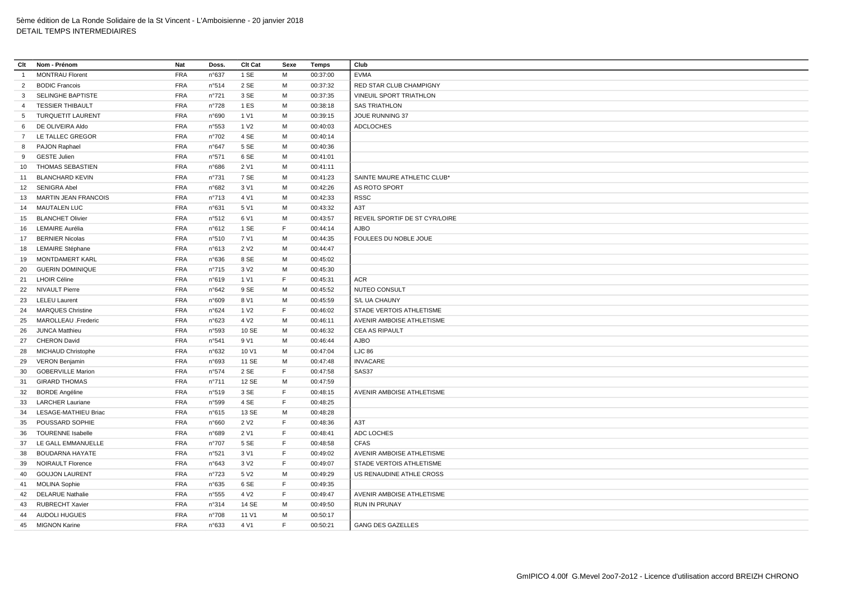| Clt            | Nom - Prénom                | Nat        | Doss.          | Clt Cat          | Sexe | Temps    | Club                           |
|----------------|-----------------------------|------------|----------------|------------------|------|----------|--------------------------------|
| $\overline{1}$ | <b>MONTRAU Florent</b>      | <b>FRA</b> | n°637          | 1 SE             | М    | 00:37:00 | <b>EVMA</b>                    |
| $\overline{2}$ | <b>BODIC Francois</b>       | <b>FRA</b> | n°514          | 2 SE             | M    | 00:37:32 | RED STAR CLUB CHAMPIGNY        |
| $\mathbf{3}$   | <b>SELINGHE BAPTISTE</b>    | <b>FRA</b> | n°721          | 3 SE             | M    | 00:37:35 | VINEUIL SPORT TRIATHLON        |
| $\overline{4}$ | <b>TESSIER THIBAULT</b>     | <b>FRA</b> | n°728          | 1 ES             | М    | 00:38:18 | <b>SAS TRIATHLON</b>           |
| 5              | <b>TURQUETIT LAURENT</b>    | FRA        | n°690          | 1 V1             | м    | 00:39:15 | JOUE RUNNING 37                |
| 6              | DE OLIVEIRA Aldo            | <b>FRA</b> | n°553          | 1 V <sub>2</sub> | M    | 00:40:03 | <b>ADCLOCHES</b>               |
|                | 7 LE TALLEC GREGOR          | <b>FRA</b> | n°702          | 4 SE             | M    | 00:40:14 |                                |
| 8              | PAJON Raphael               | <b>FRA</b> | n°647          | 5 SE             | M    | 00:40:36 |                                |
| 9              | <b>GESTE Julien</b>         | FRA        | n°571          | 6 SE             | M    | 00:41:01 |                                |
| 10             | THOMAS SEBASTIEN            | <b>FRA</b> | n°686          | 2 V1             | M    | 00:41:11 |                                |
| 11             | <b>BLANCHARD KEVIN</b>      | <b>FRA</b> | n°731          | 7 SE             | M    | 00:41:23 | SAINTE MAURE ATHLETIC CLUB*    |
|                | 12 SENIGRA Abel             | <b>FRA</b> | n°682          | 3 V1             | M    | 00:42:26 | AS ROTO SPORT                  |
| 13             | <b>MARTIN JEAN FRANCOIS</b> | <b>FRA</b> | n°713          | 4 V1             | М    | 00:42:33 | <b>RSSC</b>                    |
|                | 14 MAUTALEN LUC             | <b>FRA</b> | n°631          | 5 V1             | М    | 00:43:32 | A3T                            |
| 15             | <b>BLANCHET Olivier</b>     | <b>FRA</b> | n°512          | 6 V1             | M    | 00:43:57 | REVEIL SPORTIF DE ST CYR/LOIRE |
|                | 16 LEMAIRE Aurélia          | <b>FRA</b> | n°612          | 1 SE             | F.   | 00:44:14 | <b>AJBO</b>                    |
| 17             | <b>BERNIER Nicolas</b>      | <b>FRA</b> | n°510          | 7 V1             | М    | 00:44:35 | FOULEES DU NOBLE JOUE          |
| 18             | <b>LEMAIRE Stéphane</b>     | <b>FRA</b> | n°613          | 2 V <sub>2</sub> | м    | 00:44:47 |                                |
| 19             | MONTDAMERT KARL             | <b>FRA</b> | n°636          | 8 SE             | M    | 00:45:02 |                                |
| 20             | <b>GUERIN DOMINIQUE</b>     | <b>FRA</b> | $n^{\circ}715$ | 3 V <sub>2</sub> | M    | 00:45:30 |                                |
| 21             | <b>LHOIR Céline</b>         | <b>FRA</b> | n°619          | 1 V1             | F.   | 00:45:31 | ACR                            |
|                | 22 NIVAULT Pierre           | <b>FRA</b> | n°642          | 9 SE             | M    | 00:45:52 | NUTEO CONSULT                  |
| 23             | <b>LELEU Laurent</b>        | <b>FRA</b> | n°609          | 8 V1             | M    | 00:45:59 | S/L UA CHAUNY                  |
| 24             | <b>MARQUES Christine</b>    | <b>FRA</b> | n°624          | 1 V <sub>2</sub> | F.   | 00:46:02 | STADE VERTOIS ATHLETISME       |
|                | 25 MAROLLEAU .Frederic      | <b>FRA</b> | n°623          | 4 V <sub>2</sub> | M    | 00:46:11 | AVENIR AMBOISE ATHLETISME      |
| 26             | <b>JUNCA Matthieu</b>       | <b>FRA</b> | n°593          | 10 SE            | М    | 00:46:32 | CEA AS RIPAULT                 |
| 27             | <b>CHERON David</b>         | <b>FRA</b> | n°541          | 9 V1             | M    | 00:46:44 | <b>AJBO</b>                    |
| 28             | <b>MICHAUD Christophe</b>   | <b>FRA</b> | n°632          | 10 V1            | M    | 00:47:04 | <b>LJC 86</b>                  |
| 29             | <b>VERON Benjamin</b>       | <b>FRA</b> | n°693          | 11 SE            | M    | 00:47:48 | <b>INVACARE</b>                |
| 30             | <b>GOBERVILLE Marion</b>    | <b>FRA</b> | n°574          | 2 SE             | F.   | 00:47:58 | SAS37                          |
| 31             | <b>GIRARD THOMAS</b>        | <b>FRA</b> | n°711          | 12 SE            | M    | 00:47:59 |                                |
| 32             | <b>BORDE Angéline</b>       | <b>FRA</b> | n°519          | 3 SE             | F    | 00:48:15 | AVENIR AMBOISE ATHLETISME      |
| 33             | <b>LARCHER Lauriane</b>     | <b>FRA</b> | n°599          | 4 SE             | F    | 00:48:25 |                                |
| 34             | LESAGE-MATHIEU Briac        | <b>FRA</b> | n°615          | 13 SE            | M    | 00:48:28 |                                |
| 35             | POUSSARD SOPHIE             | FRA        | n°660          | 2 V <sub>2</sub> | F.   | 00:48:36 | A3T                            |
| 36             | <b>TOURENNE Isabelle</b>    | <b>FRA</b> | n°689          | 2 V1             | F    | 00:48:41 | ADC LOCHES                     |
| 37             | LE GALL EMMANUELLE          | <b>FRA</b> | n°707          | 5 SE             | F.   | 00:48:58 | <b>CFAS</b>                    |
| 38             | <b>BOUDARNA HAYATE</b>      | <b>FRA</b> | n°521          | 3 V1             | F    | 00:49:02 | AVENIR AMBOISE ATHLETISME      |
| 39             | <b>NOIRAULT Florence</b>    | <b>FRA</b> | n°643          | 3 V <sub>2</sub> | F.   | 00:49:07 | STADE VERTOIS ATHLETISME       |
| 40             | <b>GOUJON LAURENT</b>       | <b>FRA</b> | n°723          | 5 V <sub>2</sub> | М    | 00:49:29 | US RENAUDINE ATHLE CROSS       |
| 41             | <b>MOLINA Sophie</b>        | <b>FRA</b> | n°635          | 6 SE             | F.   | 00:49:35 |                                |
| 42             | <b>DELARUE Nathalie</b>     | <b>FRA</b> | n°555          | 4 V <sub>2</sub> | F.   | 00:49:47 | AVENIR AMBOISE ATHLETISME      |
| 43             | <b>RUBRECHT Xavier</b>      | <b>FRA</b> | n°314          | 14 SE            | М    | 00:49:50 | RUN IN PRUNAY                  |
| 44             | <b>AUDOLI HUGUES</b>        | <b>FRA</b> | n°708          | 11 V1            | M    | 00:50:17 |                                |
| 45             | <b>MIGNON Karine</b>        | <b>FRA</b> | n°633          | 4 V1             | F    | 00:50:21 | <b>GANG DES GAZELLES</b>       |
|                |                             |            |                |                  |      |          |                                |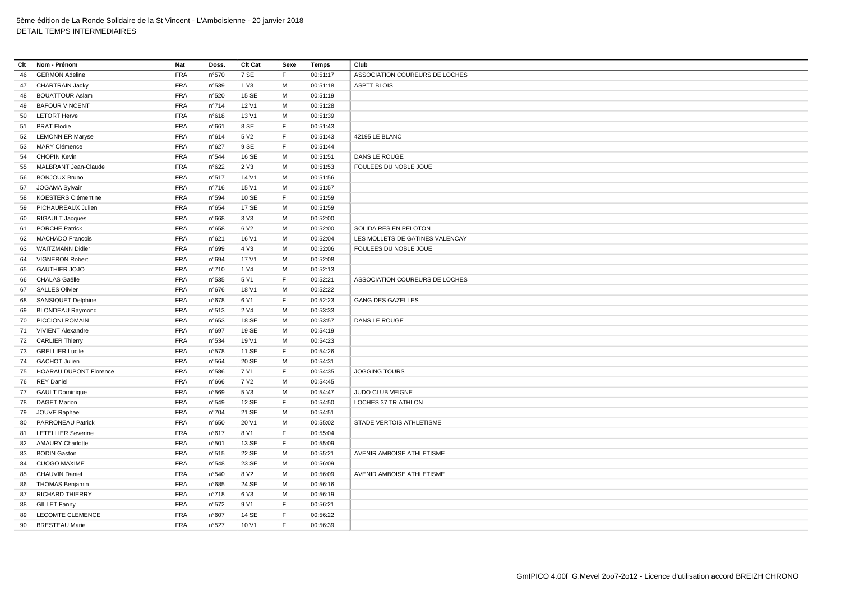| Clt | Nom - Prénom                  | Nat        | Doss.          | Clt Cat          | Sexe        | Temps    | Club                            |
|-----|-------------------------------|------------|----------------|------------------|-------------|----------|---------------------------------|
| 46  | <b>GERMON Adeline</b>         | <b>FRA</b> | n°570          | 7 SE             | F           | 00:51:17 | ASSOCIATION COUREURS DE LOCHES  |
| 47  | <b>CHARTRAIN Jacky</b>        | <b>FRA</b> | n°539          | 1 V3             | M           | 00:51:18 | <b>ASPTT BLOIS</b>              |
| 48  | <b>BOUATTOUR Aslam</b>        | <b>FRA</b> | n°520          | 15 SE            | M           | 00:51:19 |                                 |
| 49  | <b>BAFOUR VINCENT</b>         | <b>FRA</b> | n°714          | 12 V1            | M           | 00:51:28 |                                 |
| 50  | <b>LETORT Herve</b>           | <b>FRA</b> | n°618          | 13 V1            | M           | 00:51:39 |                                 |
| 51  | <b>PRAT Elodie</b>            | <b>FRA</b> | n°661          | 8 SE             | $\mathsf F$ | 00:51:43 |                                 |
|     | 52 LEMONNIER Maryse           | <b>FRA</b> | n°614          | 5 V <sub>2</sub> | F           | 00:51:43 | 42195 LE BLANC                  |
| 53  | <b>MARY Clémence</b>          | <b>FRA</b> | n°627          | 9 SE             | F           | 00:51:44 |                                 |
| 54  | <b>CHOPIN Kevin</b>           | <b>FRA</b> | n°544          | 16 SE            | М           | 00:51:51 | DANS LE ROUGE                   |
| 55  | MALBRANT Jean-Claude          | <b>FRA</b> | n°622          | 2 V3             | M           | 00:51:53 | FOULEES DU NOBLE JOUE           |
| 56  | <b>BONJOUX Bruno</b>          | <b>FRA</b> | n°517          | 14 V1            | M           | 00:51:56 |                                 |
| 57  | JOGAMA Sylvain                | <b>FRA</b> | $n^{\circ}716$ | 15 V1            | M           | 00:51:57 |                                 |
| 58  | <b>KOESTERS Clémentine</b>    | <b>FRA</b> | n°594          | 10 SE            | F           | 00:51:59 |                                 |
| 59  | PICHAUREAUX Julien            | <b>FRA</b> | n°654          | 17 SE            | M           | 00:51:59 |                                 |
| 60  | <b>RIGAULT Jacques</b>        | <b>FRA</b> | n°668          | 3 <sub>V</sub> 3 | м           | 00:52:00 |                                 |
| 61  | <b>PORCHE Patrick</b>         | <b>FRA</b> | n°658          | 6 V <sub>2</sub> | M           | 00:52:00 | SOLIDAIRES EN PELOTON           |
| 62  | <b>MACHADO Francois</b>       | <b>FRA</b> | n°621          | 16 V1            | M           | 00:52:04 | LES MOLLETS DE GATINES VALENCAY |
| 63  | <b>WAITZMANN Didier</b>       | <b>FRA</b> | n°699          | 4 V3             | M           | 00:52:06 | FOULEES DU NOBLE JOUE           |
| 64  | <b>VIGNERON Robert</b>        | <b>FRA</b> | n°694          | 17 V1            | M           | 00:52:08 |                                 |
| 65  | <b>GAUTHIER JOJO</b>          | <b>FRA</b> | n°710          | 1 V4             | M           | 00:52:13 |                                 |
| 66  | <b>CHALAS Gaëlle</b>          | <b>FRA</b> | n°535          | 5 V1             | F           | 00:52:21 | ASSOCIATION COUREURS DE LOCHES  |
| 67  | <b>SALLES Olivier</b>         | <b>FRA</b> | $n^{\circ}676$ | 18 V1            | M           | 00:52:22 |                                 |
| 68  | SANSIQUET Delphine            | <b>FRA</b> | n°678          | 6 V1             | F           | 00:52:23 | <b>GANG DES GAZELLES</b>        |
| 69  | <b>BLONDEAU Raymond</b>       | <b>FRA</b> | n°513          | 2 V4             | M           | 00:53:33 |                                 |
|     | 70 PICCIONI ROMAIN            | <b>FRA</b> | n°653          | 18 SE            | M           | 00:53:57 | DANS LE ROUGE                   |
|     | 71 VIVIENT Alexandre          | <b>FRA</b> | n°697          | 19 SE            | M           | 00:54:19 |                                 |
|     | 72 CARLIER Thierry            | <b>FRA</b> | n°534          | 19 V1            | M           | 00:54:23 |                                 |
|     | 73 GRELLIER Lucile            | <b>FRA</b> | n°578          | 11 SE            | F           | 00:54:26 |                                 |
|     | 74 GACHOT Julien              | <b>FRA</b> | n°564          | 20 SE            | M           | 00:54:31 |                                 |
| 75  | <b>HOARAU DUPONT Florence</b> | <b>FRA</b> | n°586          | 7 V1             | F           | 00:54:35 | JOGGING TOURS                   |
| 76  | <b>REY Daniel</b>             | <b>FRA</b> | n°666          | 7 V <sub>2</sub> | M           | 00:54:45 |                                 |
| 77  | <b>GAULT Dominique</b>        | <b>FRA</b> | n°569          | 5 V3             | M           | 00:54:47 | JUDO CLUB VEIGNE                |
| 78  | <b>DAGET Marion</b>           | <b>FRA</b> | n°549          | 12 SE            | F           | 00:54:50 | <b>LOCHES 37 TRIATHLON</b>      |
| 79  | JOUVE Raphael                 | <b>FRA</b> | n°704          | 21 SE            | M           | 00:54:51 |                                 |
| 80  | <b>PARRONEAU Patrick</b>      | <b>FRA</b> | n°650          | 20 V1            | M           | 00:55:02 | STADE VERTOIS ATHLETISME        |
| 81  | <b>LETELLIER Severine</b>     | <b>FRA</b> | n°617          | 8 V1             | F.          | 00:55:04 |                                 |
| 82  | <b>AMAURY Charlotte</b>       | <b>FRA</b> | n°501          | 13 SE            | F           | 00:55:09 |                                 |
| 83  | <b>BODIN Gaston</b>           | <b>FRA</b> | n°515          | 22 SE            | M           | 00:55:21 | AVENIR AMBOISE ATHLETISME       |
| 84  | <b>CUOGO MAXIME</b>           | <b>FRA</b> | n°548          | 23 SE            | M           | 00:56:09 |                                 |
| 85  | <b>CHAUVIN Daniel</b>         | <b>FRA</b> | n°540          | 8 V <sub>2</sub> | М           | 00:56:09 | AVENIR AMBOISE ATHLETISME       |
| 86  | <b>THOMAS Benjamin</b>        | <b>FRA</b> | n°685          | 24 SE            | M           | 00:56:16 |                                 |
| 87  | <b>RICHARD THIERRY</b>        | <b>FRA</b> | $n^{\circ}718$ | 6 V3             | м           | 00:56:19 |                                 |
| 88  | <b>GILLET Fanny</b>           | <b>FRA</b> | n°572          | 9 V1             | F           | 00:56:21 |                                 |
| 89  | <b>LECOMTE CLEMENCE</b>       | <b>FRA</b> | n°607          | 14 SE            | F           | 00:56:22 |                                 |
| 90  | <b>BRESTEAU Marie</b>         | <b>FRA</b> | n°527          | 10 V1            | F.          | 00:56:39 |                                 |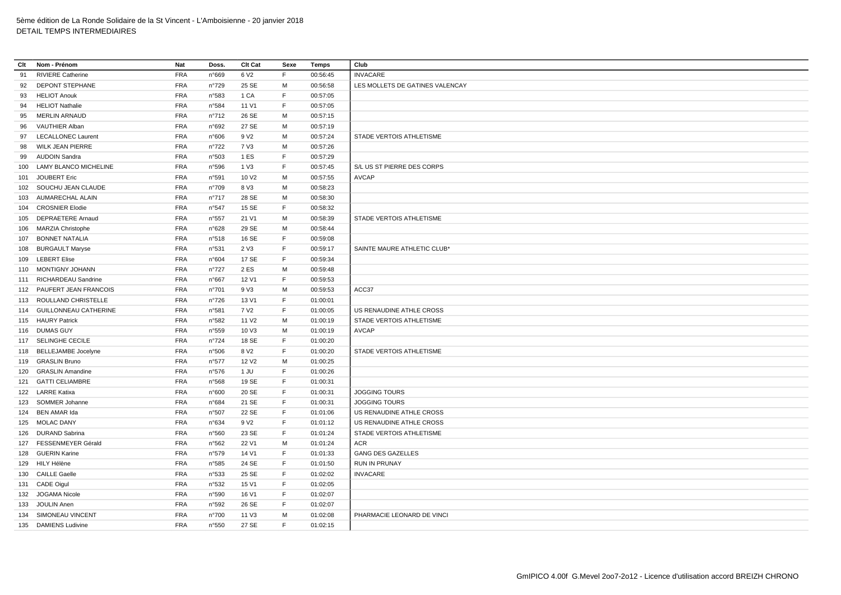| Clt | Nom - Prénom              | Nat        | Doss.          | Clt Cat           | Sexe        | <b>Temps</b> | Club                            |
|-----|---------------------------|------------|----------------|-------------------|-------------|--------------|---------------------------------|
| 91  | <b>RIVIERE Catherine</b>  | <b>FRA</b> | n°669          | 6 V <sub>2</sub>  | F           | 00:56:45     | <b>INVACARE</b>                 |
| 92  | <b>DEPONT STEPHANE</b>    | <b>FRA</b> | n°729          | 25 SE             | M           | 00:56:58     | LES MOLLETS DE GATINES VALENCAY |
| 93  | <b>HELIOT Anouk</b>       | <b>FRA</b> | n°583          | 1 CA              | F.          | 00:57:05     |                                 |
| 94  | <b>HELIOT Nathalie</b>    | <b>FRA</b> | n°584          | 11 V1             | F           | 00:57:05     |                                 |
| 95  | <b>MERLIN ARNAUD</b>      | <b>FRA</b> | $n^{\circ}712$ | 26 SE             | M           | 00:57:15     |                                 |
| 96  | VAUTHIER Alban            | <b>FRA</b> | n°692          | 27 SE             | M           | 00:57:19     |                                 |
|     | 97 LECALLONEC Laurent     | <b>FRA</b> | n°606          | 9 V <sub>2</sub>  | M           | 00:57:24     | STADE VERTOIS ATHLETISME        |
| 98  | <b>WILK JEAN PIERRE</b>   | <b>FRA</b> | n°722          | 7 V3              | M           | 00:57:26     |                                 |
| 99  | <b>AUDOIN Sandra</b>      | <b>FRA</b> | n°503          | 1 ES              | $\mathsf F$ | 00:57:29     |                                 |
|     | 100 LAMY BLANCO MICHELINE | <b>FRA</b> | n°596          | 1 V3              | F           | 00:57:45     | S/L US ST PIERRE DES CORPS      |
|     | 101 JOUBERT Eric          | <b>FRA</b> | n°591          | 10 V <sub>2</sub> | M           | 00:57:55     | <b>AVCAP</b>                    |
|     | 102 SOUCHU JEAN CLAUDE    | <b>FRA</b> | n°709          | 8 V3              | M           | 00:58:23     |                                 |
|     | 103 AUMARECHAL ALAIN      | <b>FRA</b> | n°717          | 28 SE             | M           | 00:58:30     |                                 |
| 104 | <b>CROSNIER Elodie</b>    | <b>FRA</b> | n°547          | 15 SE             | $\mathsf F$ | 00:58:32     |                                 |
|     | 105 DEPRAETERE Arnaud     | <b>FRA</b> | n°557          | 21 V1             | M           | 00:58:39     | STADE VERTOIS ATHLETISME        |
| 106 | <b>MARZIA Christophe</b>  | <b>FRA</b> | n°628          | 29 SE             | М           | 00:58:44     |                                 |
|     | 107 BONNET NATALIA        | <b>FRA</b> | n°518          | 16 SE             | F           | 00:59:08     |                                 |
|     | 108 BURGAULT Maryse       | <b>FRA</b> | n°531          | 2 V3              | F           | 00:59:17     | SAINTE MAURE ATHLETIC CLUB*     |
|     | 109 LEBERT Elise          | <b>FRA</b> | n°604          | 17 SE             | F           | 00:59:34     |                                 |
|     | 110 MONTIGNY JOHANN       | <b>FRA</b> | n°727          | 2 ES              | M           | 00:59:48     |                                 |
|     | 111 RICHARDEAU Sandrine   | <b>FRA</b> | n°667          | 12 V1             | F           | 00:59:53     |                                 |
|     | 112 PAUFERT JEAN FRANCOIS | <b>FRA</b> | n°701          | 9 V3              | M           | 00:59:53     | ACC37                           |
|     | 113 ROULLAND CHRISTELLE   | <b>FRA</b> | $n^{\circ}726$ | 13 V1             | F           | 01:00:01     |                                 |
|     | 114 GUILLONNEAU CATHERINE | <b>FRA</b> | n°581          | 7 V <sub>2</sub>  | F           | 01:00:05     | US RENAUDINE ATHLE CROSS        |
|     | 115 HAURY Patrick         | <b>FRA</b> | n°582          | 11 V <sub>2</sub> | M           | 01:00:19     | STADE VERTOIS ATHLETISME        |
|     | 116 DUMAS GUY             | <b>FRA</b> |                | 10 V3             | М           |              | <b>AVCAP</b>                    |
|     |                           | <b>FRA</b> | n°559          | 18 SE             | $\mathsf F$ | 01:00:19     |                                 |
|     | 117 SELINGHE CECILE       |            | n°724          |                   |             | 01:00:20     |                                 |
|     | 118 BELLEJAMBE Jocelyne   | <b>FRA</b> | n°506          | 8 V <sub>2</sub>  | F           | 01:00:20     | STADE VERTOIS ATHLETISME        |
|     | 119 GRASLIN Bruno         | <b>FRA</b> | n°577          | 12 V <sub>2</sub> | M<br>F      | 01:00:25     |                                 |
|     | 120 GRASLIN Amandine      | <b>FRA</b> | n°576          | 1 JU              |             | 01:00:26     |                                 |
|     | 121 GATTI CELIAMBRE       | <b>FRA</b> | n°568          | 19 SE             | F           | 01:00:31     |                                 |
|     | 122 LARRE Katixa          | <b>FRA</b> | n°600          | 20 SE             | F           | 01:00:31     | <b>JOGGING TOURS</b>            |
|     | 123 SOMMER Johanne        | <b>FRA</b> | n°684          | 21 SE             | F           | 01:00:31     | <b>JOGGING TOURS</b>            |
|     | 124 BEN AMAR Ida          | <b>FRA</b> | n°507          | 22 SE             | F           | 01:01:06     | US RENAUDINE ATHLE CROSS        |
|     | 125 MOLAC DANY            | <b>FRA</b> | n°634          | 9 V <sub>2</sub>  | F           | 01:01:12     | US RENAUDINE ATHLE CROSS        |
|     | 126 DURAND Sabrina        | <b>FRA</b> | n°560          | 23 SE             | F           | 01:01:24     | STADE VERTOIS ATHLETISME        |
|     | 127 FESSENMEYER Gérald    | <b>FRA</b> | n°562          | 22 V1             | M           | 01:01:24     | ACR                             |
|     | 128 GUERIN Karine         | <b>FRA</b> | n°579          | 14 V1             | F           | 01:01:33     | <b>GANG DES GAZELLES</b>        |
|     | 129 HILY Hélène           | <b>FRA</b> | n°585          | 24 SE             | $\mathsf F$ | 01:01:50     | <b>RUN IN PRUNAY</b>            |
|     | 130 CAILLE Gaelle         | <b>FRA</b> | n°533          | 25 SE             | F           | 01:02:02     | <b>INVACARE</b>                 |
|     | 131 CADE Oigul            | <b>FRA</b> | n°532          | 15 V1             | F           | 01:02:05     |                                 |
|     | 132 JOGAMA Nicole         | <b>FRA</b> | n°590          | 16 V1             | F           | 01:02:07     |                                 |
| 133 | <b>JOULIN Anen</b>        | <b>FRA</b> | n°592          | 26 SE             | F           | 01:02:07     |                                 |
|     | 134 SIMONEAU VINCENT      | <b>FRA</b> | n°700          | 11 V3             | м           | 01:02:08     | PHARMACIE LEONARD DE VINCI      |
|     | 135 DAMIENS Ludivine      | <b>FRA</b> | n°550          | 27 SE             | F.          | 01:02:15     |                                 |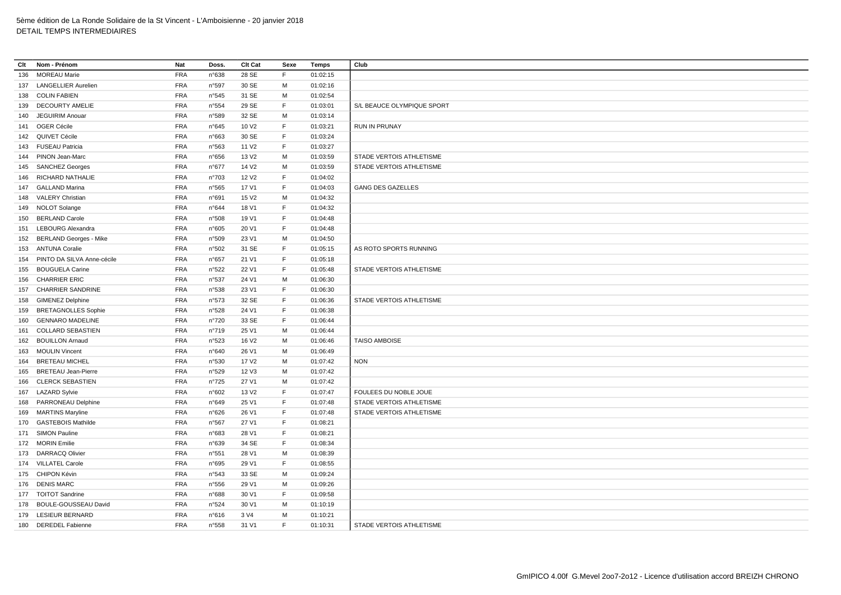| Clt | Nom - Prénom                  | Nat        | Doss.          | Clt Cat           | Sexe         | Temps    | Club                            |
|-----|-------------------------------|------------|----------------|-------------------|--------------|----------|---------------------------------|
| 136 | <b>MOREAU Marie</b>           | <b>FRA</b> | n°638          | 28 SE             | F            | 01:02:15 |                                 |
|     | 137 LANGELLIER Aurelien       | <b>FRA</b> | n°597          | 30 SE             | M            | 01:02:16 |                                 |
| 138 | <b>COLIN FABIEN</b>           | <b>FRA</b> | n°545          | 31 SE             | M            | 01:02:54 |                                 |
| 139 | <b>DECOURTY AMELIE</b>        | <b>FRA</b> | n°554          | 29 SE             | E            | 01:03:01 | S/L BEAUCE OLYMPIQUE SPORT      |
| 140 | <b>JEGUIRIM Anouar</b>        | <b>FRA</b> | n°589          | 32 SE             | M            | 01:03:14 |                                 |
|     | 141 OGER Cécile               | <b>FRA</b> | n°645          | 10 V <sub>2</sub> | $\mathsf F$  | 01:03:21 | RUN IN PRUNAY                   |
|     | 142 QUIVET Cécile             | <b>FRA</b> | n°663          | 30 SE             | E            | 01:03:24 |                                 |
|     | 143 FUSEAU Patricia           | <b>FRA</b> | n°563          | 11 V <sub>2</sub> | $\mathsf F$  | 01:03:27 |                                 |
| 144 | PINON Jean-Marc               | <b>FRA</b> | n°656          | 13 V <sub>2</sub> | M            | 01:03:59 | STADE VERTOIS ATHLETISME        |
|     | 145 SANCHEZ Georges           | <b>FRA</b> | n°677          | 14 V <sub>2</sub> | M            | 01:03:59 | STADE VERTOIS ATHLETISME        |
| 146 | RICHARD NATHALIE              | <b>FRA</b> | n°703          | 12 V <sub>2</sub> | $\mathsf F$  | 01:04:02 |                                 |
|     | 147 GALLAND Marina            | <b>FRA</b> | n°565          | 17 V1             | F            | 01:04:03 | <b>GANG DES GAZELLES</b>        |
| 148 | <b>VALERY Christian</b>       | <b>FRA</b> | n°691          | 15 V <sub>2</sub> | M            | 01:04:32 |                                 |
|     | 149 NOLOT Solange             | <b>FRA</b> | n°644          | 18 V1             | F            | 01:04:32 |                                 |
| 150 | <b>BERLAND Carole</b>         | <b>FRA</b> | n°508          | 19 V1             | $\mathsf F$  | 01:04:48 |                                 |
|     | 151 LEBOURG Alexandra         | <b>FRA</b> | n°605          | 20 V1             | F            | 01:04:48 |                                 |
| 152 | <b>BERLAND Georges - Mike</b> | <b>FRA</b> | n°509          | 23 V1             | M            | 01:04:50 |                                 |
|     | 153 ANTUNA Coralie            | <b>FRA</b> | n°502          | 31 SE             | F            | 01:05:15 | AS ROTO SPORTS RUNNING          |
| 154 | PINTO DA SILVA Anne-cécile    | <b>FRA</b> | $n^{\circ}657$ | 21 V1             | $\mathsf F$  | 01:05:18 |                                 |
| 155 | <b>BOUGUELA Carine</b>        | <b>FRA</b> | n°522          | 22 V1             | E            | 01:05:48 | STADE VERTOIS ATHLETISME        |
| 156 | <b>CHARRIER ERIC</b>          | <b>FRA</b> | n°537          | 24 V1             | M            | 01:06:30 |                                 |
|     | 157 CHARRIER SANDRINE         | FRA        | n°538          | 23 V1             | F            | 01:06:30 |                                 |
|     | 158 GIMENEZ Delphine          | <b>FRA</b> | n°573          | 32 SE             | $\mathsf F$  | 01:06:36 | STADE VERTOIS ATHLETISME        |
| 159 | <b>BRETAGNOLLES Sophie</b>    | FRA        | n°528          | 24 V1             | $\mathsf F$  | 01:06:38 |                                 |
| 160 | <b>GENNARO MADELINE</b>       | <b>FRA</b> | n°720          | 33 SE             | E            | 01:06:44 |                                 |
| 161 | <b>COLLARD SEBASTIEN</b>      | <b>FRA</b> | n°719          | 25 V1             | M            | 01:06:44 |                                 |
| 162 | <b>BOUILLON Arnaud</b>        | <b>FRA</b> | n°523          | 16 V <sub>2</sub> | M            | 01:06:46 | <b>TAISO AMBOISE</b>            |
|     | 163 MOULIN Vincent            | <b>FRA</b> | n°640          | 26 V1             | М            | 01:06:49 |                                 |
| 164 | <b>BRETEAU MICHEL</b>         | <b>FRA</b> | n°530          | 17 V <sub>2</sub> | M            | 01:07:42 | <b>NON</b>                      |
| 165 | <b>BRETEAU Jean-Pierre</b>    | FRA        | n°529          | 12 V3             | M            | 01:07:42 |                                 |
| 166 | <b>CLERCK SEBASTIEN</b>       | <b>FRA</b> | n°725          | 27 V1             | M            | 01:07:42 |                                 |
|     | 167 LAZARD Sylvie             | <b>FRA</b> | n°602          | 13 V <sub>2</sub> | $\mathsf F$  | 01:07:47 | FOULEES DU NOBLE JOUE           |
| 168 | PARRONEAU Delphine            | <b>FRA</b> | n°649          | 25 V1             | $\mathsf{F}$ | 01:07:48 | <b>STADE VERTOIS ATHLETISME</b> |
| 169 | <b>MARTINS Maryline</b>       | <b>FRA</b> | n°626          | 26 V1             | $\mathsf F$  | 01:07:48 | STADE VERTOIS ATHLETISME        |
| 170 | <b>GASTEBOIS Mathilde</b>     | FRA        | n°567          | 27 V1             | F            | 01:08:21 |                                 |
|     | 171 SIMON Pauline             | <b>FRA</b> | n°683          | 28 V1             | $\mathsf F$  | 01:08:21 |                                 |
|     | 172 MORIN Emilie              | <b>FRA</b> | n°639          | 34 SE             | F            | 01:08:34 |                                 |
|     | 173 DARRACQ Olivier           | <b>FRA</b> | n°551          | 28 V1             | M            | 01:08:39 |                                 |
|     | 174 VILLATEL Carole           | <b>FRA</b> | n°695          | 29 V1             | F            | 01:08:55 |                                 |
|     | 175 CHIPON Kévin              | <b>FRA</b> | n°543          | 33 SE             | M            | 01:09:24 |                                 |
|     | 176 DENIS MARC                | FRA        | n°556          | 29 V1             | М            | 01:09:26 |                                 |
|     | 177 TOITOT Sandrine           | <b>FRA</b> | n°688          | 30 V1             | $\mathsf F$  | 01:09:58 |                                 |
|     | 178 BOULE-GOUSSEAU David      | <b>FRA</b> | n°524          | 30 V1             | м            | 01:10:19 |                                 |
|     | 179 LESIEUR BERNARD           | <b>FRA</b> | n°616          | 3 V4              | М            | 01:10:21 |                                 |
| 180 | <b>DEREDEL Fabienne</b>       | <b>FRA</b> | n°558          | 31 V1             | F            | 01:10:31 | STADE VERTOIS ATHLETISME        |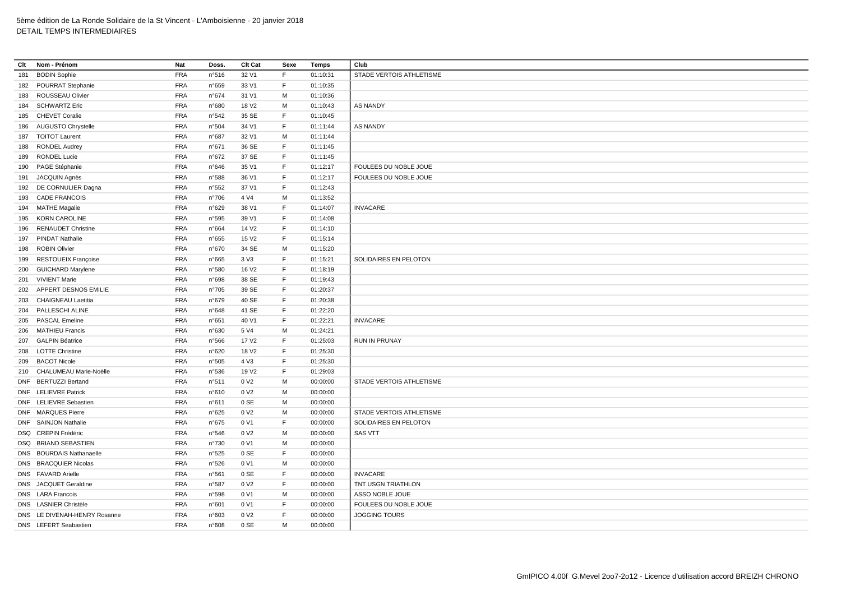| Clt | Nom - Prénom                 | Nat        | Doss. | Clt Cat           | Sexe         | Temps    | Club                     |
|-----|------------------------------|------------|-------|-------------------|--------------|----------|--------------------------|
| 181 | <b>BODIN Sophie</b>          | <b>FRA</b> | n°516 | 32 V1             | F            | 01:10:31 | STADE VERTOIS ATHLETISME |
| 182 | POURRAT Stephanie            | <b>FRA</b> | n°659 | 33 V1             | $\mathsf F$  | 01:10:35 |                          |
| 183 | ROUSSEAU Olivier             | <b>FRA</b> | n°674 | 31 V1             | M            | 01:10:36 |                          |
| 184 | <b>SCHWARTZ Eric</b>         | <b>FRA</b> | n°680 | 18 V <sub>2</sub> | M            | 01:10:43 | <b>AS NANDY</b>          |
| 185 | <b>CHEVET Coralie</b>        | <b>FRA</b> | n°542 | 35 SE             | F            | 01:10:45 |                          |
| 186 | <b>AUGUSTO Chrystelle</b>    | <b>FRA</b> | n°504 | 34 V1             | $\mathsf F$  | 01:11:44 | <b>AS NANDY</b>          |
| 187 | <b>TOITOT Laurent</b>        | <b>FRA</b> | n°687 | 32 V1             | M            | 01:11:44 |                          |
| 188 | <b>RONDEL Audrey</b>         | <b>FRA</b> | n°671 | 36 SE             | $\mathsf{F}$ | 01:11:45 |                          |
| 189 | <b>RONDEL Lucie</b>          | <b>FRA</b> | n°672 | 37 SE             | F            | 01:11:45 |                          |
| 190 | PAGE Stéphanie               | <b>FRA</b> | n°646 | 35 V1             | F            | 01:12:17 | FOULEES DU NOBLE JOUE    |
|     | 191 JACQUIN Agnès            | <b>FRA</b> | n°588 | 36 V1             | $\mathsf F$  | 01:12:17 | FOULEES DU NOBLE JOUE    |
|     | 192 DE CORNULIER Dagna       | <b>FRA</b> | n°552 | 37 V1             | F            | 01:12:43 |                          |
| 193 | <b>CADE FRANCOIS</b>         | <b>FRA</b> | n°706 | 4 V4              | M            | 01:13:52 |                          |
|     | 194 MATHE Magalie            | <b>FRA</b> | n°629 | 38 V1             | F            | 01:14:07 | <b>INVACARE</b>          |
| 195 | <b>KORN CAROLINE</b>         | <b>FRA</b> | n°595 | 39 V1             | $\mathsf F$  | 01:14:08 |                          |
| 196 | <b>RENAUDET Christine</b>    | <b>FRA</b> | n°664 | 14 V <sub>2</sub> | $\mathsf{F}$ | 01:14:10 |                          |
| 197 | <b>PINDAT Nathalie</b>       | <b>FRA</b> | n°655 | 15 V <sub>2</sub> | $\mathsf{F}$ | 01:15:14 |                          |
| 198 | <b>ROBIN Olivier</b>         | <b>FRA</b> | n°670 | 34 SE             | M            | 01:15:20 |                          |
| 199 | RESTOUEIX Françoise          | <b>FRA</b> | n°665 | 3 V3              | $\mathsf{F}$ | 01:15:21 | SOLIDAIRES EN PELOTON    |
| 200 | <b>GUICHARD Marylene</b>     | <b>FRA</b> | n°580 | 16 V <sub>2</sub> | F            | 01:18:19 |                          |
|     | 201 VIVIENT Marie            | <b>FRA</b> | n°698 | 38 SE             | F            | 01:19:43 |                          |
| 202 | APPERT DESNOS EMILIE         | <b>FRA</b> | n°705 | 39 SE             | F            | 01:20:37 |                          |
| 203 | <b>CHAIGNEAU Laetitia</b>    | <b>FRA</b> | n°679 | 40 SE             | $\mathsf F$  | 01:20:38 |                          |
| 204 | PALLESCHI ALINE              | <b>FRA</b> | n°648 | 41 SE             | $\mathsf F$  | 01:22:20 |                          |
| 205 | <b>PASCAL Emeline</b>        | <b>FRA</b> | n°651 | 40 V1             | $\mathsf{F}$ | 01:22:21 | <b>INVACARE</b>          |
| 206 | <b>MATHIEU Francis</b>       | <b>FRA</b> | n°630 | 5 V4              | M            | 01:24:21 |                          |
|     | 207 GALPIN Béatrice          | FRA        | n°566 | 17 V <sub>2</sub> | F            | 01:25:03 | <b>RUN IN PRUNAY</b>     |
| 208 | <b>LOTTE Christine</b>       | <b>FRA</b> | n°620 | 18 V <sub>2</sub> | E            | 01:25:30 |                          |
| 209 | <b>BACOT Nicole</b>          | <b>FRA</b> | n°505 | 4 V3              | F            | 01:25:30 |                          |
|     | 210 CHALUMEAU Marie-Noëlle   | <b>FRA</b> | n°536 | 19 V <sub>2</sub> | F            | 01:29:03 |                          |
|     | DNF BERTUZZI Bertand         | <b>FRA</b> | n°511 | 0 V <sub>2</sub>  | M            | 00:00:00 | STADE VERTOIS ATHLETISME |
|     | <b>DNF</b> LELIEVRE Patrick  | FRA        | n°610 | 0 V <sub>2</sub>  | M            | 00:00:00 |                          |
|     | DNF LELIEVRE Sebastien       | <b>FRA</b> | n°611 | 0 SE              | М            | 00:00:00 |                          |
|     | DNF MARQUES Pierre           | <b>FRA</b> | n°625 | 0 V <sub>2</sub>  | M            | 00:00:00 | STADE VERTOIS ATHLETISME |
|     | DNF SAINJON Nathalie         | <b>FRA</b> | n°675 | 0 V1              | E            | 00:00:00 | SOLIDAIRES EN PELOTON    |
|     | DSQ CREPIN Frédéric          | <b>FRA</b> | n°546 | 0 V <sub>2</sub>  | M            | 00:00:00 | <b>SAS VTT</b>           |
|     | DSQ BRIAND SEBASTIEN         | <b>FRA</b> | n°730 | 0 V1              | м            | 00:00:00 |                          |
|     | DNS BOURDAIS Nathanaelle     | <b>FRA</b> | n°525 | 0 SE              | $\mathsf{F}$ | 00:00:00 |                          |
|     | DNS BRACQUIER Nicolas        | <b>FRA</b> | n°526 | 0 V1              | M            | 00:00:00 |                          |
|     | DNS FAVARD Arielle           | <b>FRA</b> | n°561 | 0 SE              | F            | 00:00:00 | <b>INVACARE</b>          |
|     | DNS JACQUET Geraldine        | <b>FRA</b> | n°587 | 0 V <sub>2</sub>  | E            | 00:00:00 | TNT USGN TRIATHLON       |
|     | DNS LARA Francois            | <b>FRA</b> | n°598 | 0 V1              | м            | 00:00:00 | ASSO NOBLE JOUE          |
|     | DNS LASNIER Christèle        | <b>FRA</b> | n°601 | 0 V1              | $\mathsf F$  | 00:00:00 | FOULEES DU NOBLE JOUE    |
|     | DNS LE DIVENAH-HENRY Rosanne | <b>FRA</b> | n°603 | 0 V <sub>2</sub>  | $\mathsf{F}$ | 00:00:00 | <b>JOGGING TOURS</b>     |
|     | DNS LEFERT Seabastien        | <b>FRA</b> | n°608 | 0 SE              | M            | 00:00:00 |                          |